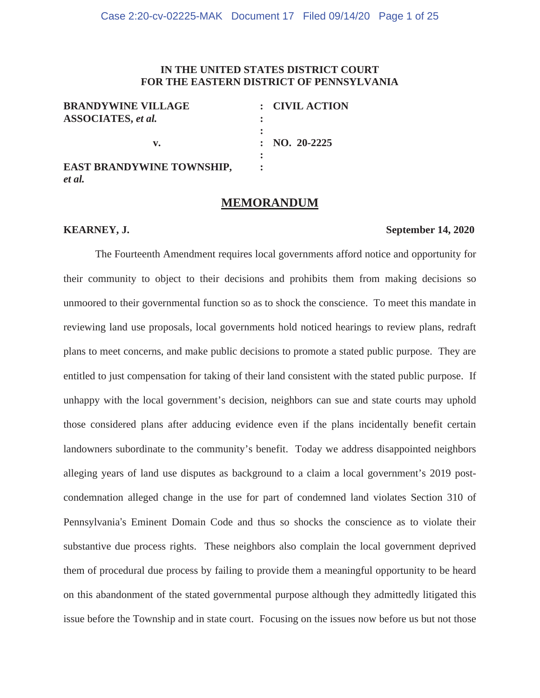# **IN THE UNITED STATES DISTRICT COURT FOR THE EASTERN DISTRICT OF PENNSYLVANIA**

| <b>BRANDYWINE VILLAGE</b>        | : CIVIL ACTION           |
|----------------------------------|--------------------------|
| <b>ASSOCIATES, et al.</b>        |                          |
|                                  |                          |
| v.                               | $\therefore$ NO. 20-2225 |
|                                  |                          |
| <b>EAST BRANDYWINE TOWNSHIP,</b> |                          |
| et al.                           |                          |

## **MEMORANDUM**

#### **KEARNEY, J.** September 14, 2020

The Fourteenth Amendment requires local governments afford notice and opportunity for their community to object to their decisions and prohibits them from making decisions so unmoored to their governmental function so as to shock the conscience. To meet this mandate in reviewing land use proposals, local governments hold noticed hearings to review plans, redraft plans to meet concerns, and make public decisions to promote a stated public purpose. They are entitled to just compensation for taking of their land consistent with the stated public purpose. If unhappy with the local government's decision, neighbors can sue and state courts may uphold those considered plans after adducing evidence even if the plans incidentally benefit certain landowners subordinate to the community's benefit. Today we address disappointed neighbors alleging years of land use disputes as background to a claim a local government's 2019 postcondemnation alleged change in the use for part of condemned land violates Section 310 of Pennsylvania's Eminent Domain Code and thus so shocks the conscience as to violate their substantive due process rights. These neighbors also complain the local government deprived them of procedural due process by failing to provide them a meaningful opportunity to be heard on this abandonment of the stated governmental purpose although they admittedly litigated this issue before the Township and in state court. Focusing on the issues now before us but not those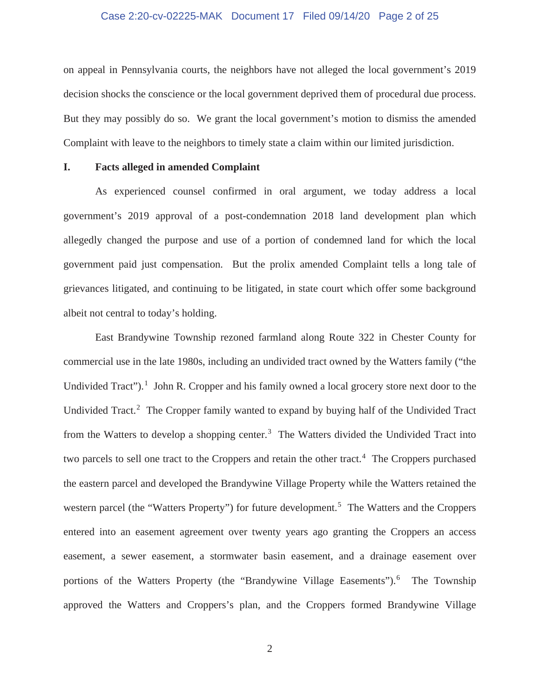# Case 2:20-cv-02225-MAK Document 17 Filed 09/14/20 Page 2 of 25

on appeal in Pennsylvania courts, the neighbors have not alleged the local government's 2019 decision shocks the conscience or the local government deprived them of procedural due process. But they may possibly do so. We grant the local government's motion to dismiss the amended Complaint with leave to the neighbors to timely state a claim within our limited jurisdiction.

## **I. Facts alleged in amended Complaint**

As experienced counsel confirmed in oral argument, we today address a local government's 2019 approval of a post-condemnation 2018 land development plan which allegedly changed the purpose and use of a portion of condemned land for which the local government paid just compensation. But the prolix amended Complaint tells a long tale of grievances litigated, and continuing to be litigated, in state court which offer some background albeit not central to today's holding.

East Brandywine Township rezoned farmland along Route 322 in Chester County for commercial use in the late 1980s, including an undivided tract owned by the Watters family ("the Undivided Tract").<sup>1</sup> John R. Cropper and his family owned a local grocery store next door to the Undivided Tract.<sup>2</sup> The Cropper family wanted to expand by buying half of the Undivided Tract from the Watters to develop a shopping center.<sup>3</sup> The Watters divided the Undivided Tract into two parcels to sell one tract to the Croppers and retain the other tract.<sup>4</sup> The Croppers purchased the eastern parcel and developed the Brandywine Village Property while the Watters retained the western parcel (the "Watters Property") for future development.<sup>5</sup> The Watters and the Croppers entered into an easement agreement over twenty years ago granting the Croppers an access easement, a sewer easement, a stormwater basin easement, and a drainage easement over portions of the Watters Property (the "Brandywine Village Easements").<sup>6</sup> The Township approved the Watters and Croppers's plan, and the Croppers formed Brandywine Village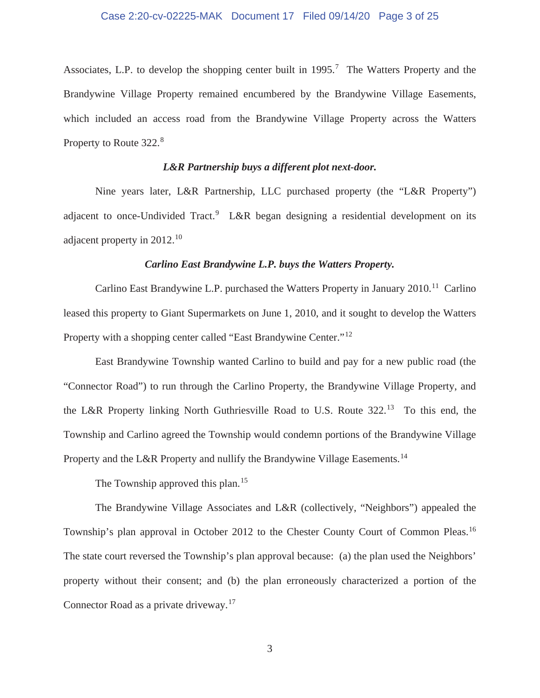# Case 2:20-cv-02225-MAK Document 17 Filed 09/14/20 Page 3 of 25

Associates, L.P. to develop the shopping center built in  $1995<sup>7</sup>$ . The Watters Property and the Brandywine Village Property remained encumbered by the Brandywine Village Easements, which included an access road from the Brandywine Village Property across the Watters Property to Route 322.<sup>8</sup>

## *L&R Partnership buys a different plot next-door.*

Nine years later, L&R Partnership, LLC purchased property (the "L&R Property") adjacent to once-Undivided Tract.<sup>9</sup> L&R began designing a residential development on its adjacent property in 2012.<sup>10</sup>

#### *Carlino East Brandywine L.P. buys the Watters Property.*

Carlino East Brandywine L.P. purchased the Watters Property in January 2010.<sup>11</sup> Carlino leased this property to Giant Supermarkets on June 1, 2010, and it sought to develop the Watters Property with a shopping center called "East Brandywine Center."<sup>12</sup>

East Brandywine Township wanted Carlino to build and pay for a new public road (the "Connector Road") to run through the Carlino Property, the Brandywine Village Property, and the L&R Property linking North Guthriesville Road to U.S. Route 322.<sup>13</sup> To this end, the Township and Carlino agreed the Township would condemn portions of the Brandywine Village Property and the L&R Property and nullify the Brandywine Village Easements.<sup>14</sup>

The Township approved this plan.<sup>15</sup>

The Brandywine Village Associates and L&R (collectively, "Neighbors") appealed the Township's plan approval in October 2012 to the Chester County Court of Common Pleas.<sup>16</sup> The state court reversed the Township's plan approval because: (a) the plan used the Neighbors' property without their consent; and (b) the plan erroneously characterized a portion of the Connector Road as a private driveway.<sup>17</sup>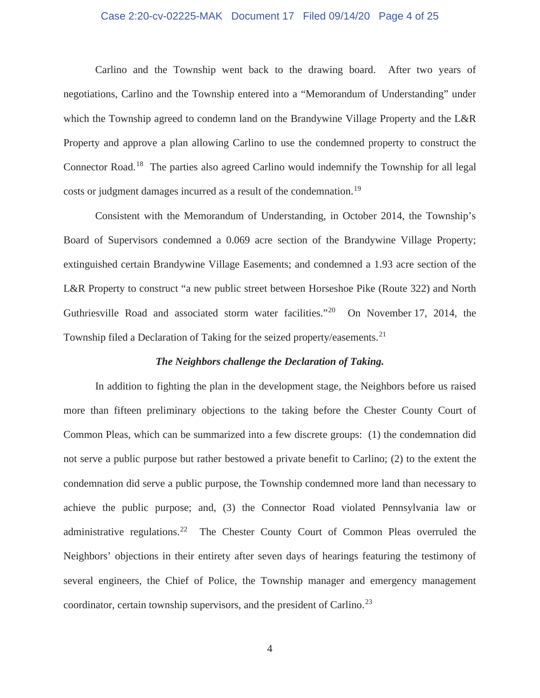### Case 2:20-cv-02225-MAK Document 17 Filed 09/14/20 Page 4 of 25

Carlino and the Township went back to the drawing board. After two years of negotiations, Carlino and the Township entered into a "Memorandum of Understanding" under which the Township agreed to condemn land on the Brandywine Village Property and the L&R Property and approve a plan allowing Carlino to use the condemned property to construct the Connector Road.<sup>18</sup> The parties also agreed Carlino would indemnify the Township for all legal costs or judgment damages incurred as a result of the condemnation.<sup>19</sup>

Consistent with the Memorandum of Understanding, in October 2014, the Township's Board of Supervisors condemned a 0.069 acre section of the Brandywine Village Property; extinguished certain Brandywine Village Easements; and condemned a 1.93 acre section of the L&R Property to construct "a new public street between Horseshoe Pike (Route 322) and North Guthriesville Road and associated storm water facilities."<sup>20</sup> On November 17, 2014, the Township filed a Declaration of Taking for the seized property/easements.<sup>21</sup>

#### *The Neighbors challenge the Declaration of Taking.*

In addition to fighting the plan in the development stage, the Neighbors before us raised more than fifteen preliminary objections to the taking before the Chester County Court of Common Pleas, which can be summarized into a few discrete groups: (1) the condemnation did not serve a public purpose but rather bestowed a private benefit to Carlino; (2) to the extent the condemnation did serve a public purpose, the Township condemned more land than necessary to achieve the public purpose; and, (3) the Connector Road violated Pennsylvania law or administrative regulations.<sup>22</sup> The Chester County Court of Common Pleas overruled the Neighbors' objections in their entirety after seven days of hearings featuring the testimony of several engineers, the Chief of Police, the Township manager and emergency management coordinator, certain township supervisors, and the president of Carlino.<sup>23</sup>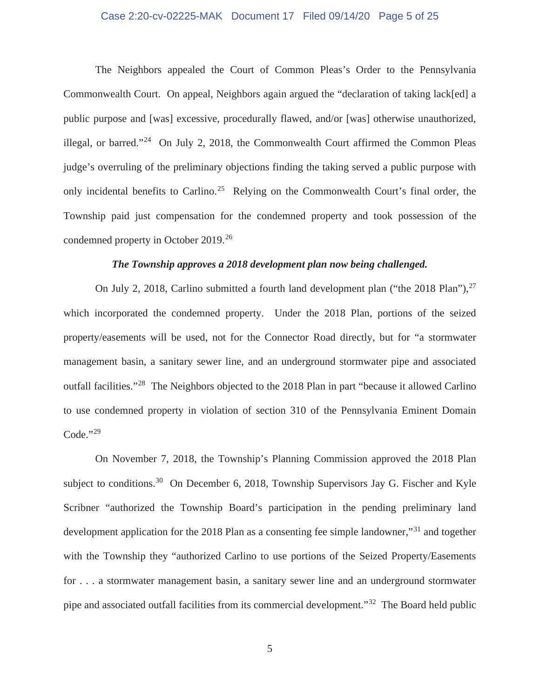# Case 2:20-cv-02225-MAK Document 17 Filed 09/14/20 Page 5 of 25

The Neighbors appealed the Court of Common Pleas's Order to the Pennsylvania Commonwealth Court. On appeal, Neighbors again argued the "declaration of taking lack[ed] a public purpose and [was] excessive, procedurally flawed, and/or [was] otherwise unauthorized, illegal, or barred."<sup>24</sup> On July 2, 2018, the Commonwealth Court affirmed the Common Pleas judge's overruling of the preliminary objections finding the taking served a public purpose with only incidental benefits to Carlino.<sup>25</sup> Relying on the Commonwealth Court's final order, the Township paid just compensation for the condemned property and took possession of the condemned property in October 2019.<sup>26</sup>

### *The Township approves a 2018 development plan now being challenged.*

On July 2, 2018, Carlino submitted a fourth land development plan ("the 2018 Plan"),  $27$ which incorporated the condemned property. Under the 2018 Plan, portions of the seized property/easements will be used, not for the Connector Road directly, but for "a stormwater management basin, a sanitary sewer line, and an underground stormwater pipe and associated outfall facilities."<sup>28</sup> The Neighbors objected to the 2018 Plan in part "because it allowed Carlino to use condemned property in violation of section 310 of the Pennsylvania Eminent Domain Code." $^{29}$ 

On November 7, 2018, the Township's Planning Commission approved the 2018 Plan subject to conditions.<sup>30</sup> On December 6, 2018, Township Supervisors Jay G. Fischer and Kyle Scribner "authorized the Township Board's participation in the pending preliminary land development application for the 2018 Plan as a consenting fee simple landowner,"<sup>31</sup> and together with the Township they "authorized Carlino to use portions of the Seized Property/Easements for . . . a stormwater management basin, a sanitary sewer line and an underground stormwater pipe and associated outfall facilities from its commercial development."<sup>32</sup> The Board held public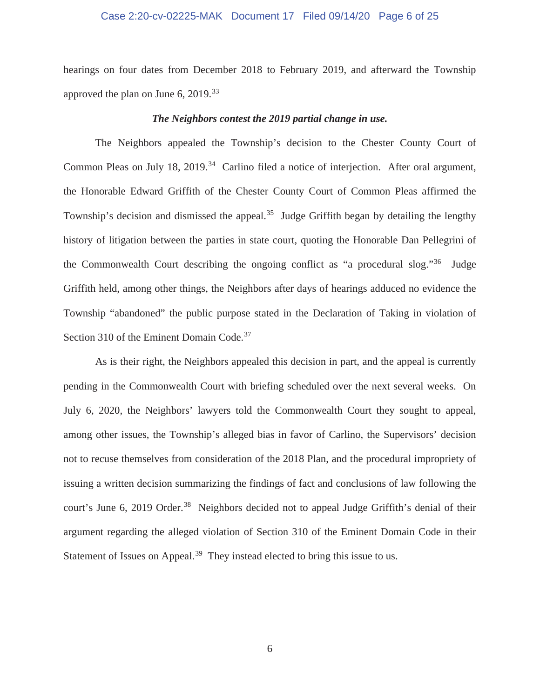#### Case 2:20-cv-02225-MAK Document 17 Filed 09/14/20 Page 6 of 25

hearings on four dates from December 2018 to February 2019, and afterward the Township approved the plan on June 6,  $2019.<sup>33</sup>$ 

#### *The Neighbors contest the 2019 partial change in use.*

The Neighbors appealed the Township's decision to the Chester County Court of Common Pleas on July 18, 2019.<sup>34</sup> Carlino filed a notice of interjection. After oral argument, the Honorable Edward Griffith of the Chester County Court of Common Pleas affirmed the Township's decision and dismissed the appeal.<sup>35</sup> Judge Griffith began by detailing the lengthy history of litigation between the parties in state court, quoting the Honorable Dan Pellegrini of the Commonwealth Court describing the ongoing conflict as "a procedural slog."<sup>36</sup> Judge Griffith held, among other things, the Neighbors after days of hearings adduced no evidence the Township "abandoned" the public purpose stated in the Declaration of Taking in violation of Section 310 of the Eminent Domain Code.<sup>37</sup>

As is their right, the Neighbors appealed this decision in part, and the appeal is currently pending in the Commonwealth Court with briefing scheduled over the next several weeks. On July 6, 2020, the Neighbors' lawyers told the Commonwealth Court they sought to appeal, among other issues, the Township's alleged bias in favor of Carlino, the Supervisors' decision not to recuse themselves from consideration of the 2018 Plan, and the procedural impropriety of issuing a written decision summarizing the findings of fact and conclusions of law following the court's June 6, 2019 Order.<sup>38</sup> Neighbors decided not to appeal Judge Griffith's denial of their argument regarding the alleged violation of Section 310 of the Eminent Domain Code in their Statement of Issues on Appeal.<sup>39</sup> They instead elected to bring this issue to us.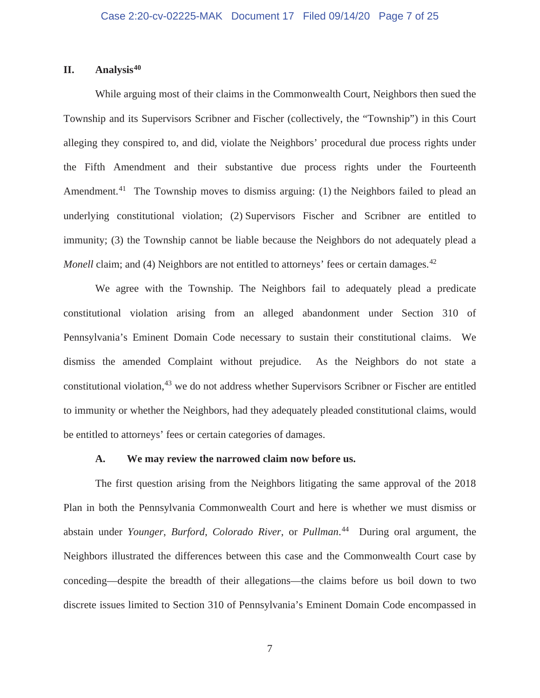## **II. Analysis40**

While arguing most of their claims in the Commonwealth Court, Neighbors then sued the Township and its Supervisors Scribner and Fischer (collectively, the "Township") in this Court alleging they conspired to, and did, violate the Neighbors' procedural due process rights under the Fifth Amendment and their substantive due process rights under the Fourteenth Amendment.<sup>41</sup> The Township moves to dismiss arguing: (1) the Neighbors failed to plead an underlying constitutional violation; (2) Supervisors Fischer and Scribner are entitled to immunity; (3) the Township cannot be liable because the Neighbors do not adequately plead a *Monell* claim; and (4) Neighbors are not entitled to attorneys' fees or certain damages.<sup>42</sup>

We agree with the Township. The Neighbors fail to adequately plead a predicate constitutional violation arising from an alleged abandonment under Section 310 of Pennsylvania's Eminent Domain Code necessary to sustain their constitutional claims. We dismiss the amended Complaint without prejudice. As the Neighbors do not state a constitutional violation,  $43$  we do not address whether Supervisors Scribner or Fischer are entitled to immunity or whether the Neighbors, had they adequately pleaded constitutional claims, would be entitled to attorneys' fees or certain categories of damages.

## **A. We may review the narrowed claim now before us.**

The first question arising from the Neighbors litigating the same approval of the 2018 Plan in both the Pennsylvania Commonwealth Court and here is whether we must dismiss or abstain under *Younger*, *Burford*, *Colorado River*, or *Pullman*. <sup>44</sup> During oral argument, the Neighbors illustrated the differences between this case and the Commonwealth Court case by conceding—despite the breadth of their allegations—the claims before us boil down to two discrete issues limited to Section 310 of Pennsylvania's Eminent Domain Code encompassed in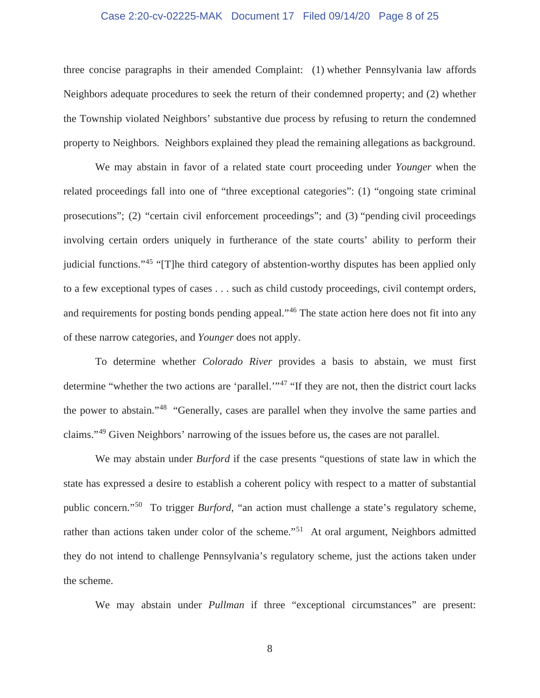# Case 2:20-cv-02225-MAK Document 17 Filed 09/14/20 Page 8 of 25

three concise paragraphs in their amended Complaint: (1) whether Pennsylvania law affords Neighbors adequate procedures to seek the return of their condemned property; and (2) whether the Township violated Neighbors' substantive due process by refusing to return the condemned property to Neighbors. Neighbors explained they plead the remaining allegations as background.

We may abstain in favor of a related state court proceeding under *Younger* when the related proceedings fall into one of "three exceptional categories": (1) "ongoing state criminal prosecutions"; (2) "certain civil enforcement proceedings"; and (3) "pending civil proceedings involving certain orders uniquely in furtherance of the state courts' ability to perform their judicial functions."<sup>45</sup> "[T]he third category of abstention-worthy disputes has been applied only to a few exceptional types of cases . . . such as child custody proceedings, civil contempt orders, and requirements for posting bonds pending appeal."<sup>46</sup> The state action here does not fit into any of these narrow categories, and *Younger* does not apply.

To determine whether *Colorado River* provides a basis to abstain, we must first determine "whether the two actions are 'parallel.'"<sup>47</sup> "If they are not, then the district court lacks the power to abstain."<sup>48</sup> "Generally, cases are parallel when they involve the same parties and claims."<sup>49</sup> Given Neighbors' narrowing of the issues before us, the cases are not parallel.

We may abstain under *Burford* if the case presents "questions of state law in which the state has expressed a desire to establish a coherent policy with respect to a matter of substantial public concern."<sup>50</sup> To trigger *Burford*, "an action must challenge a state's regulatory scheme, rather than actions taken under color of the scheme."<sup>51</sup> At oral argument, Neighbors admitted they do not intend to challenge Pennsylvania's regulatory scheme, just the actions taken under the scheme.

We may abstain under *Pullman* if three "exceptional circumstances" are present: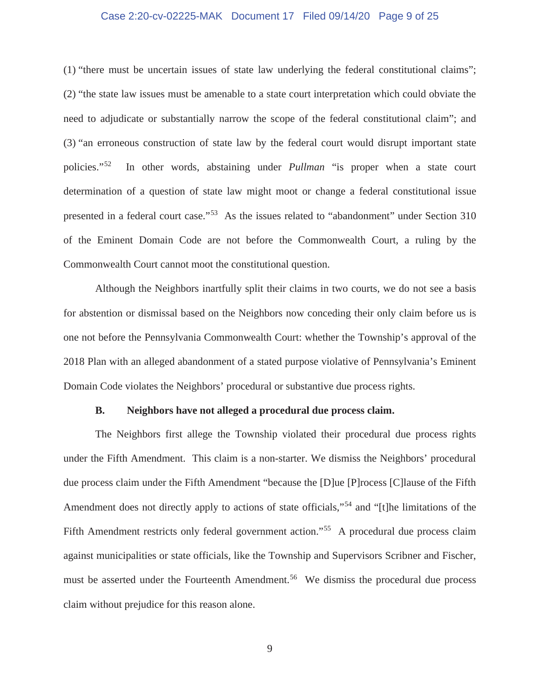### Case 2:20-cv-02225-MAK Document 17 Filed 09/14/20 Page 9 of 25

(1) "there must be uncertain issues of state law underlying the federal constitutional claims"; (2) "the state law issues must be amenable to a state court interpretation which could obviate the need to adjudicate or substantially narrow the scope of the federal constitutional claim"; and (3) "an erroneous construction of state law by the federal court would disrupt important state policies."<sup>52</sup> In other words, abstaining under *Pullman* "is proper when a state court determination of a question of state law might moot or change a federal constitutional issue presented in a federal court case."<sup>53</sup> As the issues related to "abandonment" under Section 310 of the Eminent Domain Code are not before the Commonwealth Court, a ruling by the Commonwealth Court cannot moot the constitutional question.

Although the Neighbors inartfully split their claims in two courts, we do not see a basis for abstention or dismissal based on the Neighbors now conceding their only claim before us is one not before the Pennsylvania Commonwealth Court: whether the Township's approval of the 2018 Plan with an alleged abandonment of a stated purpose violative of Pennsylvania's Eminent Domain Code violates the Neighbors' procedural or substantive due process rights.

#### **B. Neighbors have not alleged a procedural due process claim.**

The Neighbors first allege the Township violated their procedural due process rights under the Fifth Amendment. This claim is a non-starter. We dismiss the Neighbors' procedural due process claim under the Fifth Amendment "because the [D]ue [P]rocess [C]lause of the Fifth Amendment does not directly apply to actions of state officials,"<sup>54</sup> and "[t]he limitations of the Fifth Amendment restricts only federal government action."<sup>55</sup> A procedural due process claim against municipalities or state officials, like the Township and Supervisors Scribner and Fischer, must be asserted under the Fourteenth Amendment.<sup>56</sup> We dismiss the procedural due process claim without prejudice for this reason alone.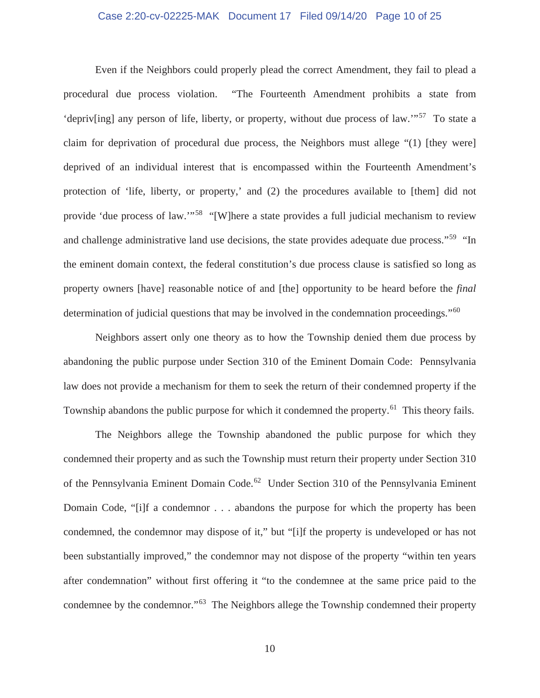### Case 2:20-cv-02225-MAK Document 17 Filed 09/14/20 Page 10 of 25

Even if the Neighbors could properly plead the correct Amendment, they fail to plead a procedural due process violation. "The Fourteenth Amendment prohibits a state from 'depriv[ing] any person of life, liberty, or property, without due process of law.'"<sup>57</sup> To state a claim for deprivation of procedural due process, the Neighbors must allege "(1) [they were] deprived of an individual interest that is encompassed within the Fourteenth Amendment's protection of 'life, liberty, or property,' and (2) the procedures available to [them] did not provide 'due process of law.'"<sup>58</sup> "[W]here a state provides a full judicial mechanism to review and challenge administrative land use decisions, the state provides adequate due process."<sup>59</sup> "In the eminent domain context, the federal constitution's due process clause is satisfied so long as property owners [have] reasonable notice of and [the] opportunity to be heard before the *final* determination of judicial questions that may be involved in the condemnation proceedings."<sup>60</sup>

Neighbors assert only one theory as to how the Township denied them due process by abandoning the public purpose under Section 310 of the Eminent Domain Code: Pennsylvania law does not provide a mechanism for them to seek the return of their condemned property if the Township abandons the public purpose for which it condemned the property.<sup>61</sup> This theory fails.

The Neighbors allege the Township abandoned the public purpose for which they condemned their property and as such the Township must return their property under Section 310 of the Pennsylvania Eminent Domain Code.<sup>62</sup> Under Section 310 of the Pennsylvania Eminent Domain Code, "[i]f a condemnor . . . abandons the purpose for which the property has been condemned, the condemnor may dispose of it," but "[i]f the property is undeveloped or has not been substantially improved," the condemnor may not dispose of the property "within ten years after condemnation" without first offering it "to the condemnee at the same price paid to the condemnee by the condemnor."<sup>63</sup> The Neighbors allege the Township condemned their property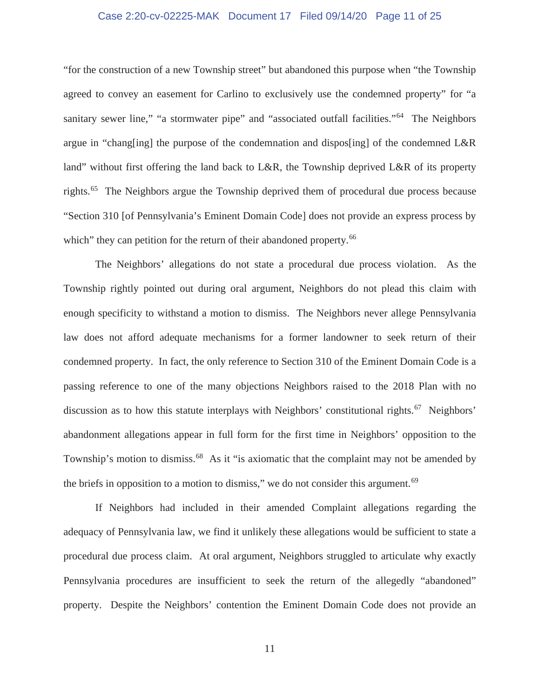### Case 2:20-cv-02225-MAK Document 17 Filed 09/14/20 Page 11 of 25

"for the construction of a new Township street" but abandoned this purpose when "the Township agreed to convey an easement for Carlino to exclusively use the condemned property" for "a sanitary sewer line," "a stormwater pipe" and "associated outfall facilities."<sup>64</sup> The Neighbors argue in "chang[ing] the purpose of the condemnation and dispos[ing] of the condemned L&R land" without first offering the land back to L&R, the Township deprived L&R of its property rights.<sup>65</sup> The Neighbors argue the Township deprived them of procedural due process because "Section 310 [of Pennsylvania's Eminent Domain Code] does not provide an express process by which" they can petition for the return of their abandoned property.<sup>66</sup>

The Neighbors' allegations do not state a procedural due process violation. As the Township rightly pointed out during oral argument, Neighbors do not plead this claim with enough specificity to withstand a motion to dismiss. The Neighbors never allege Pennsylvania law does not afford adequate mechanisms for a former landowner to seek return of their condemned property. In fact, the only reference to Section 310 of the Eminent Domain Code is a passing reference to one of the many objections Neighbors raised to the 2018 Plan with no discussion as to how this statute interplays with Neighbors' constitutional rights.<sup>67</sup> Neighbors' abandonment allegations appear in full form for the first time in Neighbors' opposition to the Township's motion to dismiss.<sup>68</sup> As it "is axiomatic that the complaint may not be amended by the briefs in opposition to a motion to dismiss," we do not consider this argument.<sup>69</sup>

If Neighbors had included in their amended Complaint allegations regarding the adequacy of Pennsylvania law, we find it unlikely these allegations would be sufficient to state a procedural due process claim. At oral argument, Neighbors struggled to articulate why exactly Pennsylvania procedures are insufficient to seek the return of the allegedly "abandoned" property. Despite the Neighbors' contention the Eminent Domain Code does not provide an

11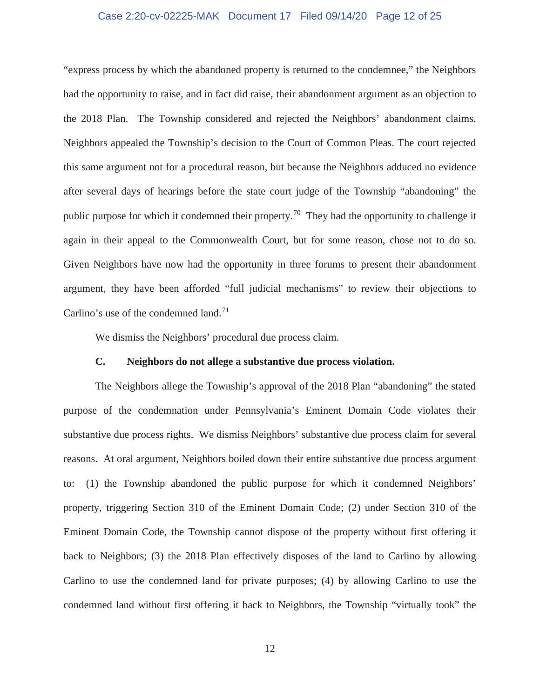### Case 2:20-cv-02225-MAK Document 17 Filed 09/14/20 Page 12 of 25

"express process by which the abandoned property is returned to the condemnee," the Neighbors had the opportunity to raise, and in fact did raise, their abandonment argument as an objection to the 2018 Plan. The Township considered and rejected the Neighbors' abandonment claims. Neighbors appealed the Township's decision to the Court of Common Pleas. The court rejected this same argument not for a procedural reason, but because the Neighbors adduced no evidence after several days of hearings before the state court judge of the Township "abandoning" the public purpose for which it condemned their property.<sup>70</sup> They had the opportunity to challenge it again in their appeal to the Commonwealth Court, but for some reason, chose not to do so. Given Neighbors have now had the opportunity in three forums to present their abandonment argument, they have been afforded "full judicial mechanisms" to review their objections to Carlino's use of the condemned land.<sup>71</sup>

We dismiss the Neighbors' procedural due process claim.

#### **C. Neighbors do not allege a substantive due process violation.**

The Neighbors allege the Township's approval of the 2018 Plan "abandoning" the stated purpose of the condemnation under Pennsylvania's Eminent Domain Code violates their substantive due process rights. We dismiss Neighbors' substantive due process claim for several reasons. At oral argument, Neighbors boiled down their entire substantive due process argument to: (1) the Township abandoned the public purpose for which it condemned Neighbors' property, triggering Section 310 of the Eminent Domain Code; (2) under Section 310 of the Eminent Domain Code, the Township cannot dispose of the property without first offering it back to Neighbors; (3) the 2018 Plan effectively disposes of the land to Carlino by allowing Carlino to use the condemned land for private purposes; (4) by allowing Carlino to use the condemned land without first offering it back to Neighbors, the Township "virtually took" the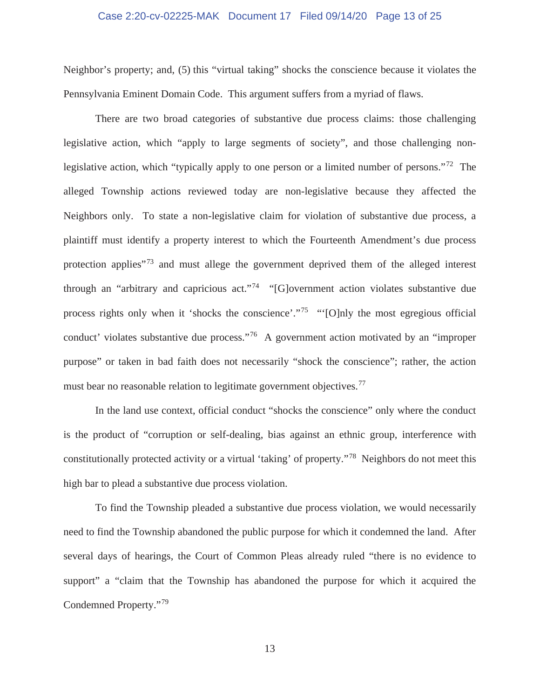### Case 2:20-cv-02225-MAK Document 17 Filed 09/14/20 Page 13 of 25

Neighbor's property; and, (5) this "virtual taking" shocks the conscience because it violates the Pennsylvania Eminent Domain Code. This argument suffers from a myriad of flaws.

There are two broad categories of substantive due process claims: those challenging legislative action, which "apply to large segments of society", and those challenging nonlegislative action, which "typically apply to one person or a limited number of persons."<sup>72</sup> The alleged Township actions reviewed today are non-legislative because they affected the Neighbors only. To state a non-legislative claim for violation of substantive due process, a plaintiff must identify a property interest to which the Fourteenth Amendment's due process protection applies<sup>"73</sup> and must allege the government deprived them of the alleged interest through an "arbitrary and capricious act."<sup>74</sup> "[G]overnment action violates substantive due process rights only when it 'shocks the conscience'."<sup>75</sup> "'[O]nly the most egregious official conduct' violates substantive due process."<sup>76</sup> A government action motivated by an "improper purpose" or taken in bad faith does not necessarily "shock the conscience"; rather, the action must bear no reasonable relation to legitimate government objectives.<sup>77</sup>

In the land use context, official conduct "shocks the conscience" only where the conduct is the product of "corruption or self-dealing, bias against an ethnic group, interference with constitutionally protected activity or a virtual 'taking' of property."<sup>78</sup> Neighbors do not meet this high bar to plead a substantive due process violation.

To find the Township pleaded a substantive due process violation, we would necessarily need to find the Township abandoned the public purpose for which it condemned the land. After several days of hearings, the Court of Common Pleas already ruled "there is no evidence to support" a "claim that the Township has abandoned the purpose for which it acquired the Condemned Property."<sup>79</sup>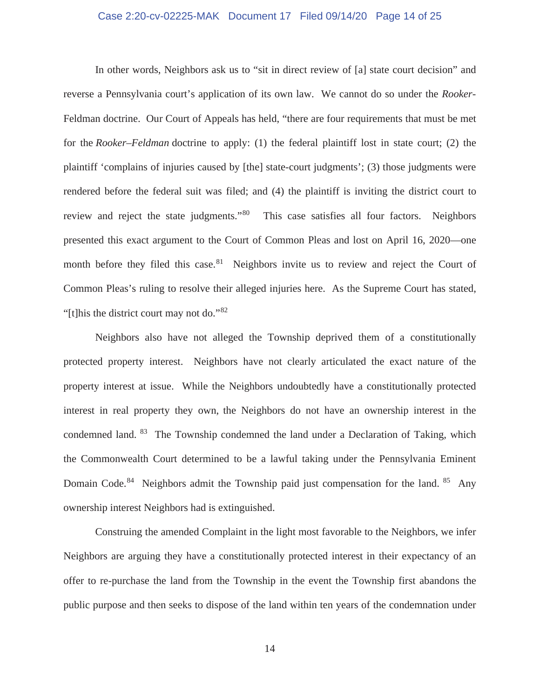### Case 2:20-cv-02225-MAK Document 17 Filed 09/14/20 Page 14 of 25

In other words, Neighbors ask us to "sit in direct review of [a] state court decision" and reverse a Pennsylvania court's application of its own law. We cannot do so under the *Rooker-*Feldman doctrine. Our Court of Appeals has held, "there are four requirements that must be met for the *Rooker–Feldman* doctrine to apply: (1) the federal plaintiff lost in state court; (2) the plaintiff 'complains of injuries caused by [the] state-court judgments'; (3) those judgments were rendered before the federal suit was filed; and (4) the plaintiff is inviting the district court to review and reject the state judgments."<sup>80</sup> This case satisfies all four factors. Neighbors presented this exact argument to the Court of Common Pleas and lost on April 16, 2020—one month before they filed this case.<sup>81</sup> Neighbors invite us to review and reject the Court of Common Pleas's ruling to resolve their alleged injuries here. As the Supreme Court has stated, "[t]his the district court may not do."<sup>82</sup>

Neighbors also have not alleged the Township deprived them of a constitutionally protected property interest. Neighbors have not clearly articulated the exact nature of the property interest at issue. While the Neighbors undoubtedly have a constitutionally protected interest in real property they own, the Neighbors do not have an ownership interest in the condemned land. <sup>83</sup> The Township condemned the land under a Declaration of Taking, which the Commonwealth Court determined to be a lawful taking under the Pennsylvania Eminent Domain Code.<sup>84</sup> Neighbors admit the Township paid just compensation for the land. <sup>85</sup> Any ownership interest Neighbors had is extinguished.

Construing the amended Complaint in the light most favorable to the Neighbors, we infer Neighbors are arguing they have a constitutionally protected interest in their expectancy of an offer to re-purchase the land from the Township in the event the Township first abandons the public purpose and then seeks to dispose of the land within ten years of the condemnation under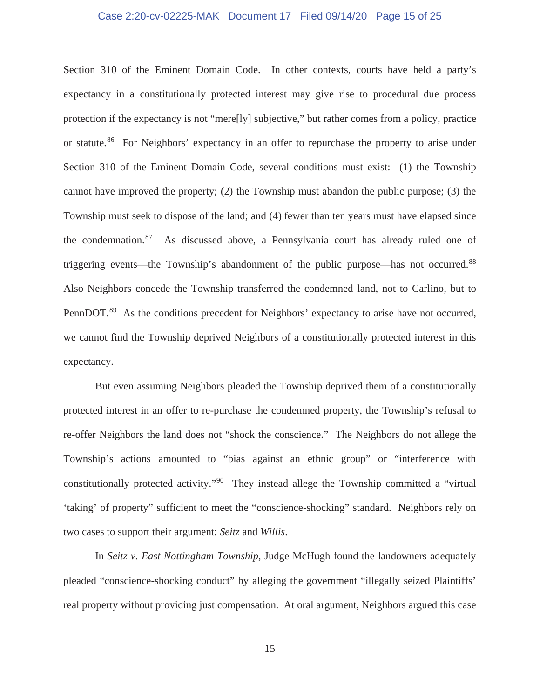#### Case 2:20-cv-02225-MAK Document 17 Filed 09/14/20 Page 15 of 25

Section 310 of the Eminent Domain Code. In other contexts, courts have held a party's expectancy in a constitutionally protected interest may give rise to procedural due process protection if the expectancy is not "mere[ly] subjective," but rather comes from a policy, practice or statute.<sup>86</sup> For Neighbors' expectancy in an offer to repurchase the property to arise under Section 310 of the Eminent Domain Code, several conditions must exist: (1) the Township cannot have improved the property; (2) the Township must abandon the public purpose; (3) the Township must seek to dispose of the land; and (4) fewer than ten years must have elapsed since the condemnation.<sup>87</sup> As discussed above, a Pennsylvania court has already ruled one of triggering events—the Township's abandonment of the public purpose—has not occurred.<sup>88</sup> Also Neighbors concede the Township transferred the condemned land, not to Carlino, but to PennDOT.<sup>89</sup> As the conditions precedent for Neighbors' expectancy to arise have not occurred, we cannot find the Township deprived Neighbors of a constitutionally protected interest in this expectancy.

But even assuming Neighbors pleaded the Township deprived them of a constitutionally protected interest in an offer to re-purchase the condemned property, the Township's refusal to re-offer Neighbors the land does not "shock the conscience." The Neighbors do not allege the Township's actions amounted to "bias against an ethnic group" or "interference with constitutionally protected activity."<sup>90</sup> They instead allege the Township committed a "virtual 'taking' of property" sufficient to meet the "conscience-shocking" standard. Neighbors rely on two cases to support their argument: *Seitz* and *Willis*.

In *Seitz v. East Nottingham Township*, Judge McHugh found the landowners adequately pleaded "conscience-shocking conduct" by alleging the government "illegally seized Plaintiffs' real property without providing just compensation. At oral argument, Neighbors argued this case

15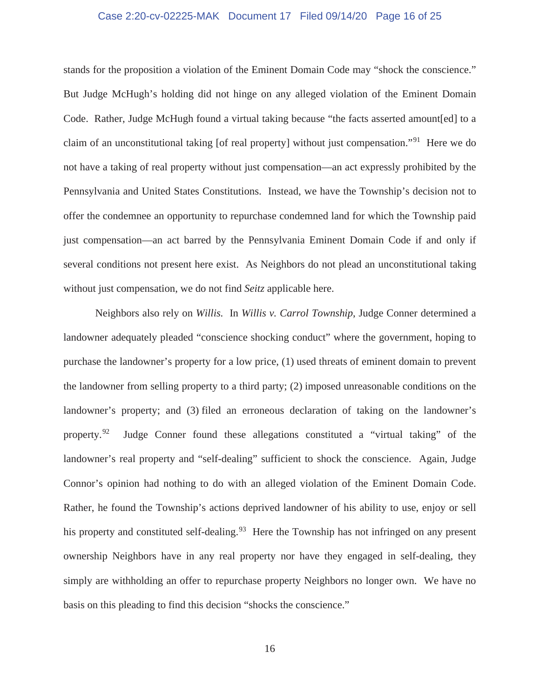### Case 2:20-cv-02225-MAK Document 17 Filed 09/14/20 Page 16 of 25

stands for the proposition a violation of the Eminent Domain Code may "shock the conscience." But Judge McHugh's holding did not hinge on any alleged violation of the Eminent Domain Code. Rather, Judge McHugh found a virtual taking because "the facts asserted amount[ed] to a claim of an unconstitutional taking [of real property] without just compensation."<sup>91</sup> Here we do not have a taking of real property without just compensation—an act expressly prohibited by the Pennsylvania and United States Constitutions. Instead, we have the Township's decision not to offer the condemnee an opportunity to repurchase condemned land for which the Township paid just compensation—an act barred by the Pennsylvania Eminent Domain Code if and only if several conditions not present here exist. As Neighbors do not plead an unconstitutional taking without just compensation, we do not find *Seitz* applicable here.

Neighbors also rely on *Willis.* In *Willis v. Carrol Township*, Judge Conner determined a landowner adequately pleaded "conscience shocking conduct" where the government, hoping to purchase the landowner's property for a low price, (1) used threats of eminent domain to prevent the landowner from selling property to a third party; (2) imposed unreasonable conditions on the landowner's property; and (3) filed an erroneous declaration of taking on the landowner's property.<sup>92</sup> Judge Conner found these allegations constituted a "virtual taking" of the landowner's real property and "self-dealing" sufficient to shock the conscience. Again, Judge Connor's opinion had nothing to do with an alleged violation of the Eminent Domain Code. Rather, he found the Township's actions deprived landowner of his ability to use, enjoy or sell his property and constituted self-dealing.<sup>93</sup> Here the Township has not infringed on any present ownership Neighbors have in any real property nor have they engaged in self-dealing, they simply are withholding an offer to repurchase property Neighbors no longer own. We have no basis on this pleading to find this decision "shocks the conscience."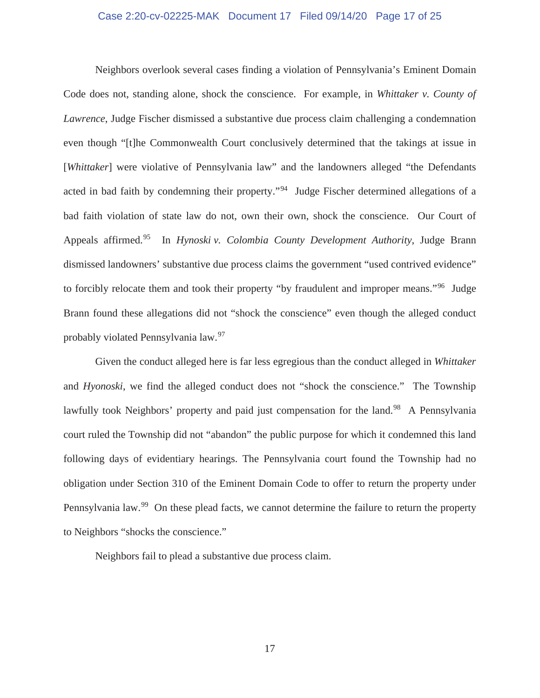### Case 2:20-cv-02225-MAK Document 17 Filed 09/14/20 Page 17 of 25

Neighbors overlook several cases finding a violation of Pennsylvania's Eminent Domain Code does not, standing alone, shock the conscience. For example, in *Whittaker v. County of Lawrence*, Judge Fischer dismissed a substantive due process claim challenging a condemnation even though "[t]he Commonwealth Court conclusively determined that the takings at issue in [*Whittaker*] were violative of Pennsylvania law" and the landowners alleged "the Defendants acted in bad faith by condemning their property."<sup>94</sup> Judge Fischer determined allegations of a bad faith violation of state law do not, own their own, shock the conscience. Our Court of Appeals affirmed.<sup>95</sup> In *Hynoski v. Colombia County Development Authority*, Judge Brann dismissed landowners' substantive due process claims the government "used contrived evidence" to forcibly relocate them and took their property "by fraudulent and improper means."<sup>96</sup> Judge Brann found these allegations did not "shock the conscience" even though the alleged conduct probably violated Pennsylvania law.<sup>97</sup>

Given the conduct alleged here is far less egregious than the conduct alleged in *Whittaker* and *Hyonoski*, we find the alleged conduct does not "shock the conscience." The Township lawfully took Neighbors' property and paid just compensation for the land.<sup>98</sup> A Pennsylvania court ruled the Township did not "abandon" the public purpose for which it condemned this land following days of evidentiary hearings. The Pennsylvania court found the Township had no obligation under Section 310 of the Eminent Domain Code to offer to return the property under Pennsylvania law.<sup>99</sup> On these plead facts, we cannot determine the failure to return the property to Neighbors "shocks the conscience."

Neighbors fail to plead a substantive due process claim.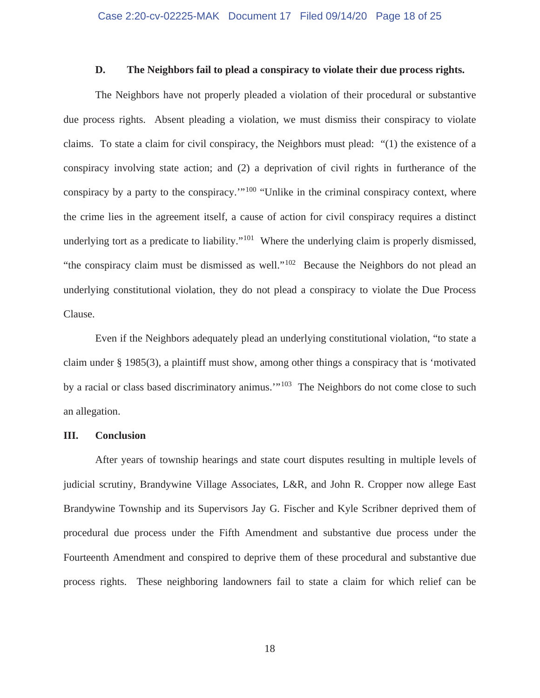#### **D. The Neighbors fail to plead a conspiracy to violate their due process rights.**

The Neighbors have not properly pleaded a violation of their procedural or substantive due process rights. Absent pleading a violation, we must dismiss their conspiracy to violate claims. To state a claim for civil conspiracy, the Neighbors must plead: "(1) the existence of a conspiracy involving state action; and (2) a deprivation of civil rights in furtherance of the conspiracy by a party to the conspiracy.'"<sup>100</sup> "Unlike in the criminal conspiracy context, where the crime lies in the agreement itself, a cause of action for civil conspiracy requires a distinct underlying tort as a predicate to liability."<sup>101</sup> Where the underlying claim is properly dismissed, "the conspiracy claim must be dismissed as well."<sup>102</sup> Because the Neighbors do not plead an underlying constitutional violation, they do not plead a conspiracy to violate the Due Process Clause.

Even if the Neighbors adequately plead an underlying constitutional violation, "to state a claim under § 1985(3), a plaintiff must show, among other things a conspiracy that is 'motivated by a racial or class based discriminatory animus."<sup>103</sup> The Neighbors do not come close to such an allegation.

## **III. Conclusion**

After years of township hearings and state court disputes resulting in multiple levels of judicial scrutiny, Brandywine Village Associates, L&R, and John R. Cropper now allege East Brandywine Township and its Supervisors Jay G. Fischer and Kyle Scribner deprived them of procedural due process under the Fifth Amendment and substantive due process under the Fourteenth Amendment and conspired to deprive them of these procedural and substantive due process rights. These neighboring landowners fail to state a claim for which relief can be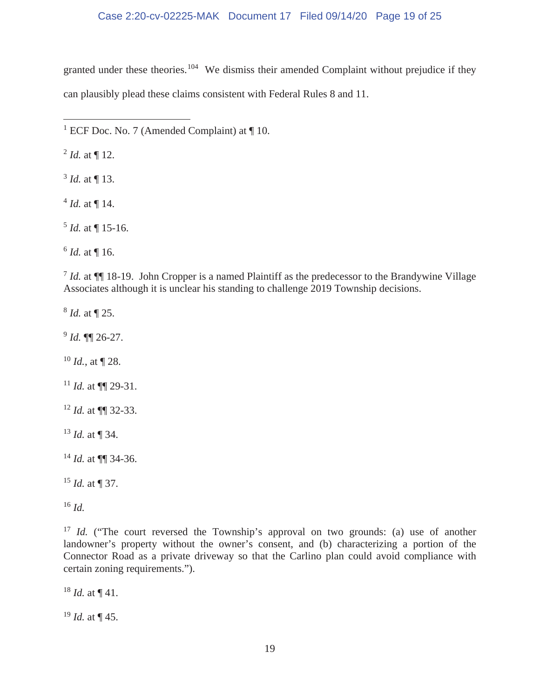# Case 2:20-cv-02225-MAK Document 17 Filed 09/14/20 Page 19 of 25

granted under these theories.<sup>104</sup> We dismiss their amended Complaint without prejudice if they can plausibly plead these claims consistent with Federal Rules 8 and 11.

 $^{2}$  *Id.* at  $\P$  12.

<sup>3</sup> *Id.* at ¶ 13.

 $4$  *Id.* at  $\P$  14.

 $<sup>5</sup>$  *Id.* at  $\P$  15-16.</sup>

<sup>6</sup> *Id.* at ¶ 16.

<sup>7</sup> *Id.* at  $\P$  18-19. John Cropper is a named Plaintiff as the predecessor to the Brandywine Village Associates although it is unclear his standing to challenge 2019 Township decisions.

<sup>8</sup> *Id.* at ¶ 25.

<sup>9</sup> *Id.* ¶¶ 26-27.

<sup>10</sup> *Id.*, at ¶ 28.

<sup>11</sup> *Id.* at ¶¶ 29-31.

<sup>12</sup> *Id.* at ¶¶ 32-33.

<sup>13</sup> *Id.* at ¶ 34.

<sup>14</sup> *Id.* at ¶¶ 34-36.

<sup>15</sup> *Id.* at ¶ 37.

<sup>16</sup> *Id.*

<sup>17</sup> *Id.* ("The court reversed the Township's approval on two grounds: (a) use of another landowner's property without the owner's consent, and (b) characterizing a portion of the Connector Road as a private driveway so that the Carlino plan could avoid compliance with certain zoning requirements.").

 $18$  *Id.* at  $\P$  41.

<sup>19</sup> *Id.* at ¶ 45.

<sup>&</sup>lt;sup>1</sup> ECF Doc. No. 7 (Amended Complaint) at  $\P$  10.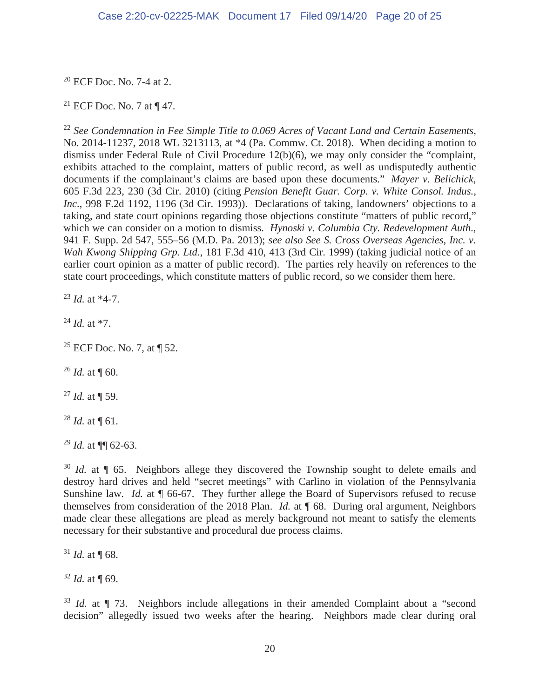<sup>20</sup> ECF Doc. No. 7-4 at 2.

<sup>21</sup> ECF Doc. No. 7 at  $\P$  47.

<sup>22</sup> *See Condemnation in Fee Simple Title to 0.069 Acres of Vacant Land and Certain Easements*, No. 2014-11237, 2018 WL 3213113, at \*4 (Pa. Commw. Ct. 2018). When deciding a motion to dismiss under Federal Rule of Civil Procedure 12(b)(6), we may only consider the "complaint, exhibits attached to the complaint, matters of public record, as well as undisputedly authentic documents if the complainant's claims are based upon these documents." *Mayer v. Belichick*, 605 F.3d 223, 230 (3d Cir. 2010) (citing *Pension Benefit Guar. Corp. v. White Consol. Indus., Inc*., 998 F.2d 1192, 1196 (3d Cir. 1993)). Declarations of taking, landowners' objections to a taking, and state court opinions regarding those objections constitute "matters of public record," which we can consider on a motion to dismiss. *Hynoski v. Columbia Cty. Redevelopment Auth*., 941 F. Supp. 2d 547, 555–56 (M.D. Pa. 2013); *see also See S. Cross Overseas Agencies, Inc. v. Wah Kwong Shipping Grp. Ltd.*, 181 F.3d 410, 413 (3rd Cir. 1999) (taking judicial notice of an earlier court opinion as a matter of public record). The parties rely heavily on references to the state court proceedings, which constitute matters of public record, so we consider them here.

<sup>23</sup> *Id.* at \*4-7.

<sup>24</sup> *Id.* at \*7.

- <sup>25</sup> ECF Doc. No. 7, at  $\P$  52.
- $^{26}$  *Id.* at ¶ 60.

<sup>27</sup> *Id.* at ¶ 59.

<sup>28</sup> *Id.* at ¶ 61.

<sup>29</sup> *Id.* at ¶¶ 62-63.

<sup>30</sup> *Id.* at ¶ 65. Neighbors allege they discovered the Township sought to delete emails and destroy hard drives and held "secret meetings" with Carlino in violation of the Pennsylvania Sunshine law. *Id.* at  $\P$  66-67. They further allege the Board of Supervisors refused to recuse themselves from consideration of the 2018 Plan. *Id.* at ¶ 68. During oral argument, Neighbors made clear these allegations are plead as merely background not meant to satisfy the elements necessary for their substantive and procedural due process claims.

 $31$  *Id.* at  $\P$  68.

 $32$  *Id.* at ¶ 69.

<sup>33</sup> *Id.* at ¶ 73. Neighbors include allegations in their amended Complaint about a "second decision" allegedly issued two weeks after the hearing. Neighbors made clear during oral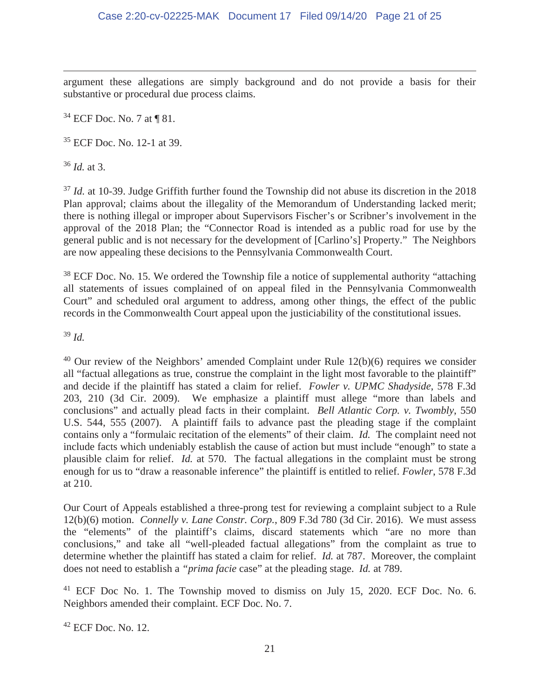argument these allegations are simply background and do not provide a basis for their substantive or procedural due process claims.

<sup>34</sup> ECF Doc. No. 7 at ¶ 81.

<sup>35</sup> ECF Doc. No. 12-1 at 39.

<sup>36</sup> *Id.* at 3.

<sup>37</sup> *Id.* at 10-39. Judge Griffith further found the Township did not abuse its discretion in the 2018 Plan approval; claims about the illegality of the Memorandum of Understanding lacked merit; there is nothing illegal or improper about Supervisors Fischer's or Scribner's involvement in the approval of the 2018 Plan; the "Connector Road is intended as a public road for use by the general public and is not necessary for the development of [Carlino's] Property." The Neighbors are now appealing these decisions to the Pennsylvania Commonwealth Court.

 $38$  ECF Doc. No. 15. We ordered the Township file a notice of supplemental authority "attaching all statements of issues complained of on appeal filed in the Pennsylvania Commonwealth Court" and scheduled oral argument to address, among other things, the effect of the public records in the Commonwealth Court appeal upon the justiciability of the constitutional issues.

<sup>39</sup> *Id.*

 $40$  Our review of the Neighbors' amended Complaint under Rule 12(b)(6) requires we consider all "factual allegations as true, construe the complaint in the light most favorable to the plaintiff" and decide if the plaintiff has stated a claim for relief. *Fowler v. UPMC Shadyside*, 578 F.3d 203, 210 (3d Cir. 2009). We emphasize a plaintiff must allege "more than labels and conclusions" and actually plead facts in their complaint. *Bell Atlantic Corp. v. Twombly*, 550 U.S. 544, 555 (2007). A plaintiff fails to advance past the pleading stage if the complaint contains only a "formulaic recitation of the elements" of their claim. *Id.* The complaint need not include facts which undeniably establish the cause of action but must include "enough" to state a plausible claim for relief. *Id.* at 570. The factual allegations in the complaint must be strong enough for us to "draw a reasonable inference" the plaintiff is entitled to relief. *Fowler*, 578 F.3d at 210.

Our Court of Appeals established a three-prong test for reviewing a complaint subject to a Rule 12(b)(6) motion. *Connelly v. Lane Constr. Corp.*, 809 F.3d 780 (3d Cir. 2016). We must assess the "elements" of the plaintiff's claims, discard statements which "are no more than conclusions," and take all "well-pleaded factual allegations" from the complaint as true to determine whether the plaintiff has stated a claim for relief. *Id.* at 787. Moreover, the complaint does not need to establish a *"prima facie* case" at the pleading stage. *Id.* at 789.

<sup>41</sup> ECF Doc No. 1. The Township moved to dismiss on July 15, 2020. ECF Doc. No. 6. Neighbors amended their complaint. ECF Doc. No. 7.

 $42$  ECF Doc. No. 12.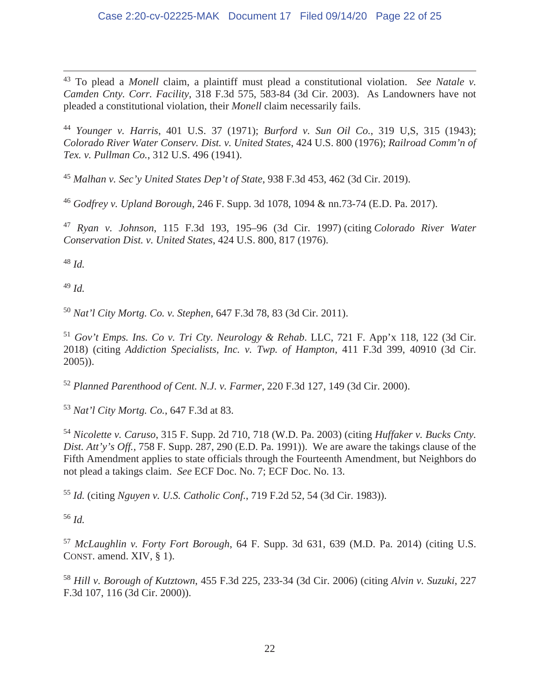<sup>43</sup> To plead a *Monell* claim, a plaintiff must plead a constitutional violation. *See Natale v. Camden Cnty. Corr. Facility*, 318 F.3d 575, 583-84 (3d Cir. 2003). As Landowners have not pleaded a constitutional violation, their *Monell* claim necessarily fails.

<sup>44</sup> *Younger v. Harris*, 401 U.S. 37 (1971); *Burford v. Sun Oil Co.*, 319 U,S, 315 (1943); *Colorado River Water Conserv. Dist. v. United States*, 424 U.S. 800 (1976); *Railroad Comm'n of Tex. v. Pullman Co.*, 312 U.S. 496 (1941).

<sup>45</sup> *Malhan v. Sec'y United States Dep't of State*, 938 F.3d 453, 462 (3d Cir. 2019).

<sup>46</sup> *Godfrey v. Upland Borough*, 246 F. Supp. 3d 1078, 1094 & nn.73-74 (E.D. Pa. 2017).

<sup>47</sup> *Ryan v. Johnson*, 115 F.3d 193, 195–96 (3d Cir. 1997) (citing *Colorado River Water Conservation Dist. v. United States*, 424 U.S. 800, 817 (1976).

<sup>48</sup> *Id.*

<sup>49</sup> *Id.*

<sup>50</sup> *Nat'l City Mortg. Co. v. Stephen*, 647 F.3d 78, 83 (3d Cir. 2011).

<sup>51</sup> *Gov't Emps. Ins. Co v. Tri Cty. Neurology & Rehab*. LLC, 721 F. App'x 118, 122 (3d Cir. 2018) (citing *Addiction Specialists, Inc. v. Twp. of Hampton*, 411 F.3d 399, 40910 (3d Cir. 2005)).

<sup>52</sup> *Planned Parenthood of Cent. N.J. v. Farmer*, 220 F.3d 127, 149 (3d Cir. 2000).

<sup>53</sup> *Nat'l City Mortg. Co.*, 647 F.3d at 83.

<sup>54</sup> *Nicolette v. Caruso*, 315 F. Supp. 2d 710, 718 (W.D. Pa. 2003) (citing *Huffaker v. Bucks Cnty. Dist. Att'y's Off.*, 758 F. Supp. 287, 290 (E.D. Pa. 1991)). We are aware the takings clause of the Fifth Amendment applies to state officials through the Fourteenth Amendment, but Neighbors do not plead a takings claim. *See* ECF Doc. No. 7; ECF Doc. No. 13.

<sup>55</sup> *Id.* (citing *Nguyen v. U.S. Catholic Conf.*, 719 F.2d 52, 54 (3d Cir. 1983)).

<sup>56</sup> *Id.*

<sup>57</sup> *McLaughlin v. Forty Fort Borough*, 64 F. Supp. 3d 631, 639 (M.D. Pa. 2014) (citing U.S. CONST. amend. XIV, § 1).

<sup>58</sup> *Hill v. Borough of Kutztown*, 455 F.3d 225, 233-34 (3d Cir. 2006) (citing *Alvin v. Suzuki*, 227 F.3d 107, 116 (3d Cir. 2000)).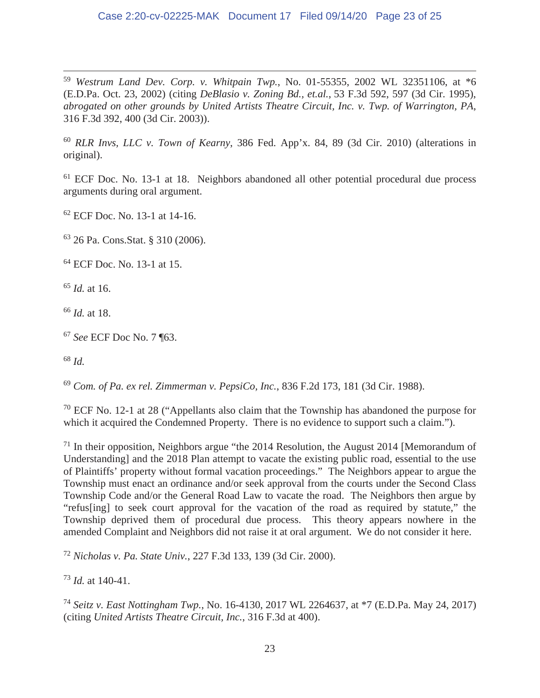<sup>59</sup> *Westrum Land Dev. Corp. v. Whitpain Twp.*, No. 01-55355, 2002 WL 32351106, at \*6 (E.D.Pa. Oct. 23, 2002) (citing *DeBlasio v. Zoning Bd., et.al.*, 53 F.3d 592, 597 (3d Cir. 1995), *abrogated on other grounds by United Artists Theatre Circuit, Inc. v. Twp. of Warrington, PA*, 316 F.3d 392, 400 (3d Cir. 2003)).

<sup>60</sup> *RLR Invs, LLC v. Town of Kearny*, 386 Fed. App'x. 84, 89 (3d Cir. 2010) (alterations in original).

 $61$  ECF Doc. No. 13-1 at 18. Neighbors abandoned all other potential procedural due process arguments during oral argument.

<sup>62</sup> ECF Doc. No. 13-1 at 14-16.

<sup>63</sup> 26 Pa. Cons.Stat. § 310 (2006).

<sup>64</sup> ECF Doc. No. 13-1 at 15.

<sup>65</sup> *Id.* at 16.

<sup>66</sup> *Id.* at 18.

<sup>67</sup> *See* ECF Doc No. 7 ¶63.

<sup>68</sup> *Id.*

<sup>69</sup> *Com. of Pa. ex rel. Zimmerman v. PepsiCo, Inc.*, 836 F.2d 173, 181 (3d Cir. 1988).

 $70$  ECF No. 12-1 at 28 ("Appellants also claim that the Township has abandoned the purpose for which it acquired the Condemned Property. There is no evidence to support such a claim.").

 $71$  In their opposition, Neighbors argue "the 2014 Resolution, the August 2014 [Memorandum of Understanding] and the 2018 Plan attempt to vacate the existing public road, essential to the use of Plaintiffs' property without formal vacation proceedings." The Neighbors appear to argue the Township must enact an ordinance and/or seek approval from the courts under the Second Class Township Code and/or the General Road Law to vacate the road. The Neighbors then argue by "refus[ing] to seek court approval for the vacation of the road as required by statute," the Township deprived them of procedural due process. This theory appears nowhere in the amended Complaint and Neighbors did not raise it at oral argument. We do not consider it here.

<sup>72</sup> *Nicholas v. Pa. State Univ.*, 227 F.3d 133, 139 (3d Cir. 2000).

<sup>73</sup> *Id.* at 140-41.

<sup>74</sup> *Seitz v. East Nottingham Twp.*, No. 16-4130, 2017 WL 2264637, at \*7 (E.D.Pa. May 24, 2017) (citing *United Artists Theatre Circuit, Inc.*, 316 F.3d at 400).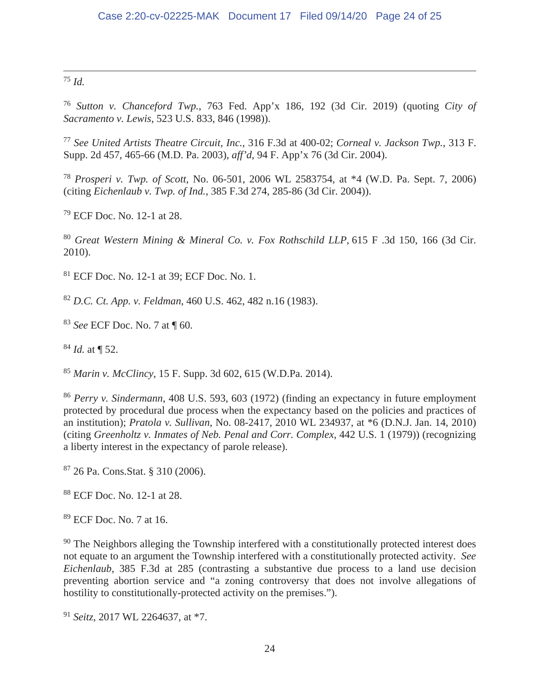<sup>75</sup> *Id.*

<sup>76</sup> *Sutton v. Chanceford Twp.*, 763 Fed. App'x 186, 192 (3d Cir. 2019) (quoting *City of Sacramento v. Lewis*, 523 U.S. 833, 846 (1998)).

<sup>77</sup> *See United Artists Theatre Circuit, Inc.*, 316 F.3d at 400-02; *Corneal v. Jackson Twp.*, 313 F. Supp. 2d 457, 465-66 (M.D. Pa. 2003), *aff'd*, 94 F. App'x 76 (3d Cir. 2004).

<sup>78</sup> *Prosperi v. Twp. of Scott,* No. 06-501, 2006 WL 2583754, at \*4 (W.D. Pa. Sept. 7, 2006) (citing *Eichenlaub v. Twp. of Ind.*, 385 F.3d 274, 285-86 (3d Cir. 2004)).

<sup>79</sup> ECF Doc. No. 12-1 at 28.

<sup>80</sup> *Great Western Mining & Mineral Co. v. Fox Rothschild LLP,* 615 F .3d 150, 166 (3d Cir. 2010).

<sup>81</sup> ECF Doc. No. 12-1 at 39; ECF Doc. No. 1.

<sup>82</sup> *D.C. Ct. App. v. Feldman*, 460 U.S. 462, 482 n.16 (1983).

<sup>83</sup> *See* ECF Doc. No. 7 at ¶ 60.

<sup>84</sup> *Id.* at ¶ 52.

<sup>85</sup> *Marin v. McClincy*, 15 F. Supp. 3d 602, 615 (W.D.Pa. 2014).

<sup>86</sup> *Perry v. Sindermann*, 408 U.S. 593, 603 (1972) (finding an expectancy in future employment protected by procedural due process when the expectancy based on the policies and practices of an institution); *Pratola v. Sullivan*, No. 08-2417, 2010 WL 234937, at \*6 (D.N.J. Jan. 14, 2010) (citing *Greenholtz v. Inmates of Neb. Penal and Corr. Complex*, 442 U.S. 1 (1979)) (recognizing a liberty interest in the expectancy of parole release).

<sup>87</sup> 26 Pa. Cons.Stat. § 310 (2006).

<sup>88</sup> ECF Doc. No. 12-1 at 28.

<sup>89</sup> ECF Doc. No. 7 at 16.

 $90$  The Neighbors alleging the Township interfered with a constitutionally protected interest does not equate to an argument the Township interfered with a constitutionally protected activity. *See Eichenlaub*, 385 F.3d at 285 (contrasting a substantive due process to a land use decision preventing abortion service and "a zoning controversy that does not involve allegations of hostility to constitutionally-protected activity on the premises.").

<sup>91</sup> *Seitz*, 2017 WL 2264637, at \*7.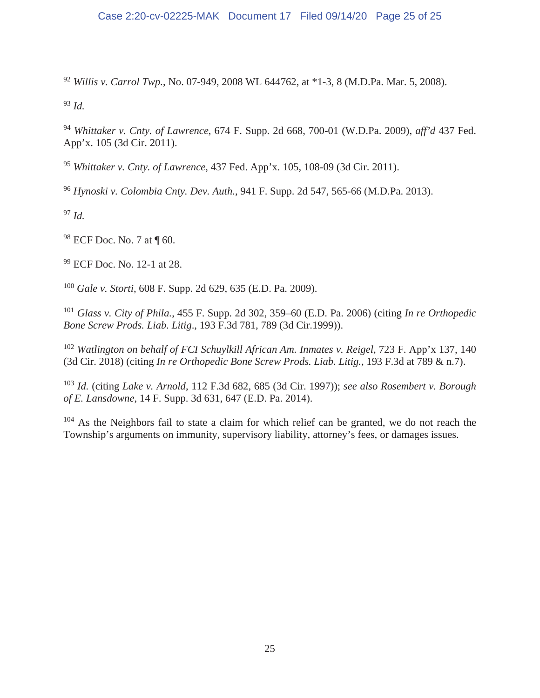*Willis v. Carrol Twp.*, No. 07-949, 2008 WL 644762, at \*1-3, 8 (M.D.Pa. Mar. 5, 2008).

*Id.*

 *Whittaker v. Cnty. of Lawrence*, 674 F. Supp. 2d 668, 700-01 (W.D.Pa. 2009), *aff'd* 437 Fed. App'x. 105 (3d Cir. 2011).

*Whittaker v. Cnty. of Lawrence*, 437 Fed. App'x. 105, 108-09 (3d Cir. 2011).

*Hynoski v. Colombia Cnty. Dev. Auth.*, 941 F. Supp. 2d 547, 565-66 (M.D.Pa. 2013).

*Id.*

ECF Doc. No. 7 at ¶ 60.

ECF Doc. No. 12-1 at 28.

*Gale v. Storti*, 608 F. Supp. 2d 629, 635 (E.D. Pa. 2009).

 *Glass v. City of Phila.*, 455 F. Supp. 2d 302, 359–60 (E.D. Pa. 2006) (citing *In re Orthopedic Bone Screw Prods. Liab. Litig*., 193 F.3d 781, 789 (3d Cir.1999)).

 *Watlington on behalf of FCI Schuylkill African Am. Inmates v. Reigel*, 723 F. App'x 137, 140 (3d Cir. 2018) (citing *In re Orthopedic Bone Screw Prods. Liab. Litig.*, 193 F.3d at 789 & n.7).

 *Id.* (citing *Lake v. Arnold*, 112 F.3d 682, 685 (3d Cir. 1997)); *see also Rosembert v. Borough of E. Lansdowne*, 14 F. Supp. 3d 631, 647 (E.D. Pa. 2014).

<sup>104</sup> As the Neighbors fail to state a claim for which relief can be granted, we do not reach the Township's arguments on immunity, supervisory liability, attorney's fees, or damages issues.